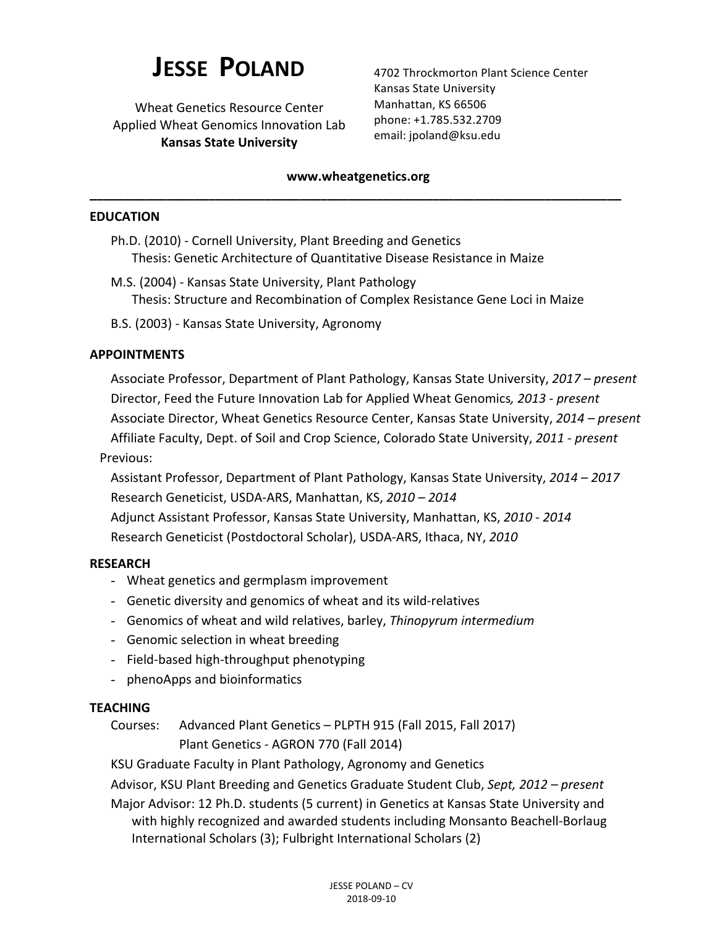# **JESSE POLAND**

Wheat Genetics Resource Center Applied Wheat Genomics Innovation Lab **Kansas State University**

4702 Throckmorton Plant Science Center Kansas State University Manhattan, KS 66506 phone: +1.785.532.2709 email: jpoland@ksu.edu

## **www.wheatgenetics.org \_\_\_\_\_\_\_\_\_\_\_\_\_\_\_\_\_\_\_\_\_\_\_\_\_\_\_\_\_\_\_\_\_\_\_\_\_\_\_\_\_\_\_\_\_\_\_\_\_\_\_\_\_\_\_\_\_\_\_\_\_\_\_\_\_\_\_\_\_\_\_\_\_\_\_\_**

#### **EDUCATION**

- Ph.D. (2010) Cornell University, Plant Breeding and Genetics Thesis: Genetic Architecture of Quantitative Disease Resistance in Maize
- M.S. (2004) Kansas State University, Plant Pathology Thesis: Structure and Recombination of Complex Resistance Gene Loci in Maize
- B.S. (2003) Kansas State University, Agronomy

## **APPOINTMENTS**

Associate Professor, Department of Plant Pathology, Kansas State University, 2017 – *present* Director, Feed the Future Innovation Lab for Applied Wheat Genomics, 2013 - present Associate Director, Wheat Genetics Resource Center, Kansas State University, 2014 – present Affiliate Faculty, Dept. of Soil and Crop Science, Colorado State University, *2011 - present* Previous:

Assistant Professor, Department of Plant Pathology, Kansas State University, *2014 – 2017* Research Geneticist, USDA-ARS, Manhattan, KS, *2010 – 2014* Adjunct Assistant Professor, Kansas State University, Manhattan, KS, 2010 - 2014 Research Geneticist (Postdoctoral Scholar), USDA-ARS, Ithaca, NY, 2010

## **RESEARCH**

- Wheat genetics and germplasm improvement
- Genetic diversity and genomics of wheat and its wild-relatives
- Genomics of wheat and wild relatives, barley, *Thinopyrum intermedium*
- Genomic selection in wheat breeding
- Field-based high-throughput phenotyping
- phenoApps and bioinformatics

## **TEACHING**

Courses: Advanced Plant Genetics - PLPTH 915 (Fall 2015, Fall 2017) Plant Genetics - AGRON 770 (Fall 2014)

KSU Graduate Faculty in Plant Pathology, Agronomy and Genetics

Advisor, KSU Plant Breeding and Genetics Graduate Student Club, *Sept, 2012* – *present* 

Major Advisor: 12 Ph.D. students (5 current) in Genetics at Kansas State University and with highly recognized and awarded students including Monsanto Beachell-Borlaug International Scholars (3); Fulbright International Scholars (2)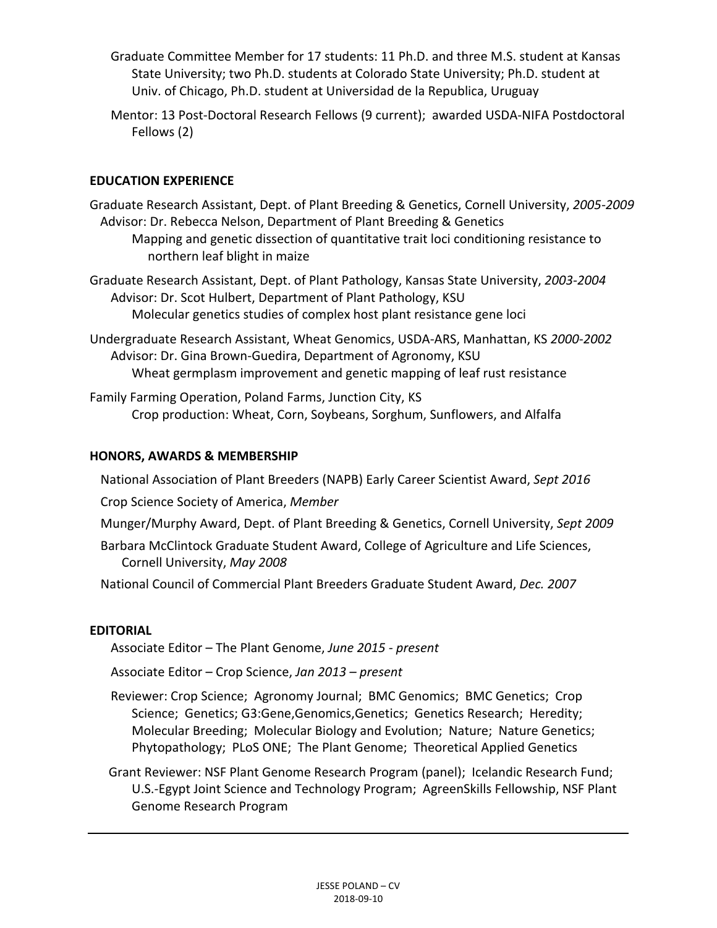- Graduate Committee Member for 17 students: 11 Ph.D. and three M.S. student at Kansas State University; two Ph.D. students at Colorado State University; Ph.D. student at Univ. of Chicago, Ph.D. student at Universidad de la Republica, Uruguay
- Mentor: 13 Post-Doctoral Research Fellows (9 current); awarded USDA-NIFA Postdoctoral Fellows (2)

# **EDUCATION EXPERIENCE**

Graduate Research Assistant, Dept. of Plant Breeding & Genetics, Cornell University, 2005-2009 Advisor: Dr. Rebecca Nelson, Department of Plant Breeding & Genetics Mapping and genetic dissection of quantitative trait loci conditioning resistance to northern leaf blight in maize

Graduate Research Assistant, Dept. of Plant Pathology, Kansas State University, *2003-2004* Advisor: Dr. Scot Hulbert, Department of Plant Pathology, KSU Molecular genetics studies of complex host plant resistance gene loci

Undergraduate Research Assistant, Wheat Genomics, USDA-ARS, Manhattan, KS *2000-2002* Advisor: Dr. Gina Brown-Guedira, Department of Agronomy, KSU Wheat germplasm improvement and genetic mapping of leaf rust resistance

Family Farming Operation, Poland Farms, Junction City, KS Crop production: Wheat, Corn, Soybeans, Sorghum, Sunflowers, and Alfalfa

## **HONORS, AWARDS & MEMBERSHIP**

National Association of Plant Breeders (NAPB) Early Career Scientist Award, Sept 2016

Crop Science Society of America, *Member*

Munger/Murphy Award, Dept. of Plant Breeding & Genetics, Cornell University, *Sept 2009* 

Barbara McClintock Graduate Student Award, College of Agriculture and Life Sciences, Cornell University, *May 2008*

National Council of Commercial Plant Breeders Graduate Student Award, *Dec. 2007* 

# **EDITORIAL**

Associate Editor – The Plant Genome, June 2015 - present

Associate Editor – Crop Science, *Jan 2013 – present*

Reviewer: Crop Science; Agronomy Journal; BMC Genomics; BMC Genetics; Crop Science; Genetics; G3:Gene,Genomics,Genetics; Genetics Research; Heredity; Molecular Breeding; Molecular Biology and Evolution; Nature; Nature Genetics; Phytopathology; PLoS ONE; The Plant Genome; Theoretical Applied Genetics

Grant Reviewer: NSF Plant Genome Research Program (panel); Icelandic Research Fund; U.S.-Egypt Joint Science and Technology Program; AgreenSkills Fellowship, NSF Plant Genome Research Program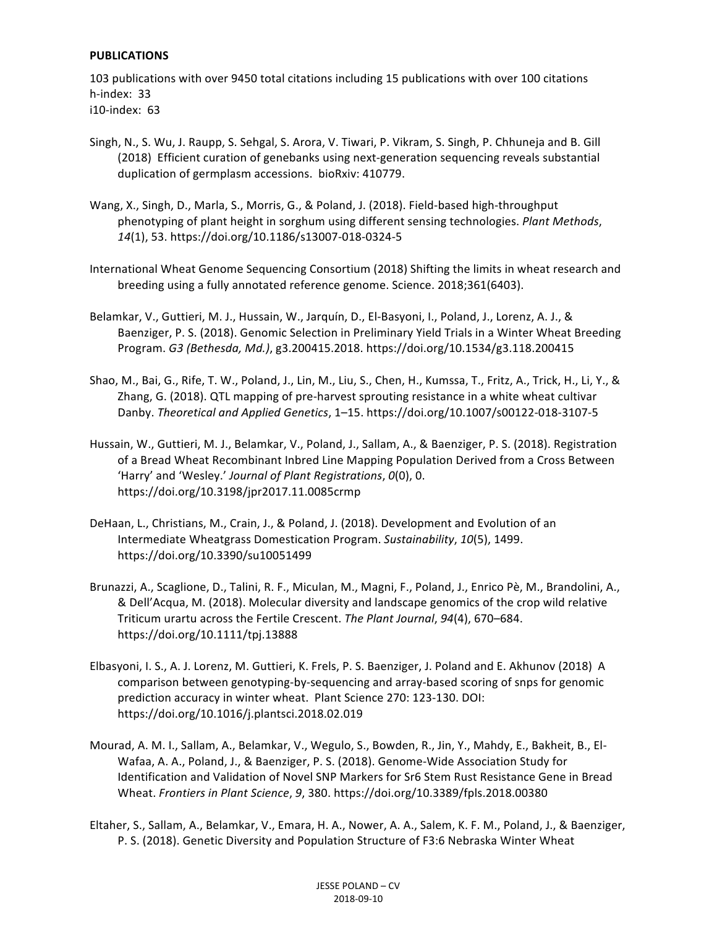#### **PUBLICATIONS**

103 publications with over 9450 total citations including 15 publications with over 100 citations h-index: 33 i10-index: 63

- Singh, N., S. Wu, J. Raupp, S. Sehgal, S. Arora, V. Tiwari, P. Vikram, S. Singh, P. Chhuneja and B. Gill (2018) Efficient curation of genebanks using next-generation sequencing reveals substantial duplication of germplasm accessions. bioRxiv: 410779.
- Wang, X., Singh, D., Marla, S., Morris, G., & Poland, J. (2018). Field-based high-throughput phenotyping of plant height in sorghum using different sensing technologies. *Plant Methods*, *14*(1), 53. https://doi.org/10.1186/s13007-018-0324-5
- International Wheat Genome Sequencing Consortium (2018) Shifting the limits in wheat research and breeding using a fully annotated reference genome. Science. 2018;361(6403).
- Belamkar, V., Guttieri, M. J., Hussain, W., Jarquín, D., El-Basyoni, I., Poland, J., Lorenz, A. J., & Baenziger, P. S. (2018). Genomic Selection in Preliminary Yield Trials in a Winter Wheat Breeding Program. *G3 (Bethesda, Md.)*, g3.200415.2018. https://doi.org/10.1534/g3.118.200415
- Shao, M., Bai, G., Rife, T. W., Poland, J., Lin, M., Liu, S., Chen, H., Kumssa, T., Fritz, A., Trick, H., Li, Y., & Zhang, G. (2018). QTL mapping of pre-harvest sprouting resistance in a white wheat cultivar Danby. *Theoretical and Applied Genetics*, 1–15. https://doi.org/10.1007/s00122-018-3107-5
- Hussain, W., Guttieri, M. J., Belamkar, V., Poland, J., Sallam, A., & Baenziger, P. S. (2018). Registration of a Bread Wheat Recombinant Inbred Line Mapping Population Derived from a Cross Between 'Harry' and 'Wesley.' Journal of Plant Registrations,  $O(0)$ , 0. https://doi.org/10.3198/jpr2017.11.0085crmp
- DeHaan, L., Christians, M., Crain, J., & Poland, J. (2018). Development and Evolution of an Intermediate Wheatgrass Domestication Program. *Sustainability*, *10*(5), 1499. https://doi.org/10.3390/su10051499
- Brunazzi, A., Scaglione, D., Talini, R. F., Miculan, M., Magni, F., Poland, J., Enrico Pè, M., Brandolini, A., & Dell'Acqua, M. (2018). Molecular diversity and landscape genomics of the crop wild relative Triticum urartu across the Fertile Crescent. The Plant Journal, 94(4), 670–684. https://doi.org/10.1111/tpj.13888
- Elbasyoni, I. S., A. J. Lorenz, M. Guttieri, K. Frels, P. S. Baenziger, J. Poland and E. Akhunov (2018) A comparison between genotyping-by-sequencing and array-based scoring of snps for genomic prediction accuracy in winter wheat. Plant Science 270: 123-130. DOI: https://doi.org/10.1016/j.plantsci.2018.02.019
- Mourad, A. M. I., Sallam, A., Belamkar, V., Wegulo, S., Bowden, R., Jin, Y., Mahdy, E., Bakheit, B., El-Wafaa, A. A., Poland, J., & Baenziger, P. S. (2018). Genome-Wide Association Study for Identification and Validation of Novel SNP Markers for Sr6 Stem Rust Resistance Gene in Bread Wheat. *Frontiers in Plant Science*, 9, 380. https://doi.org/10.3389/fpls.2018.00380
- Eltaher, S., Sallam, A., Belamkar, V., Emara, H. A., Nower, A. A., Salem, K. F. M., Poland, J., & Baenziger, P. S. (2018). Genetic Diversity and Population Structure of F3:6 Nebraska Winter Wheat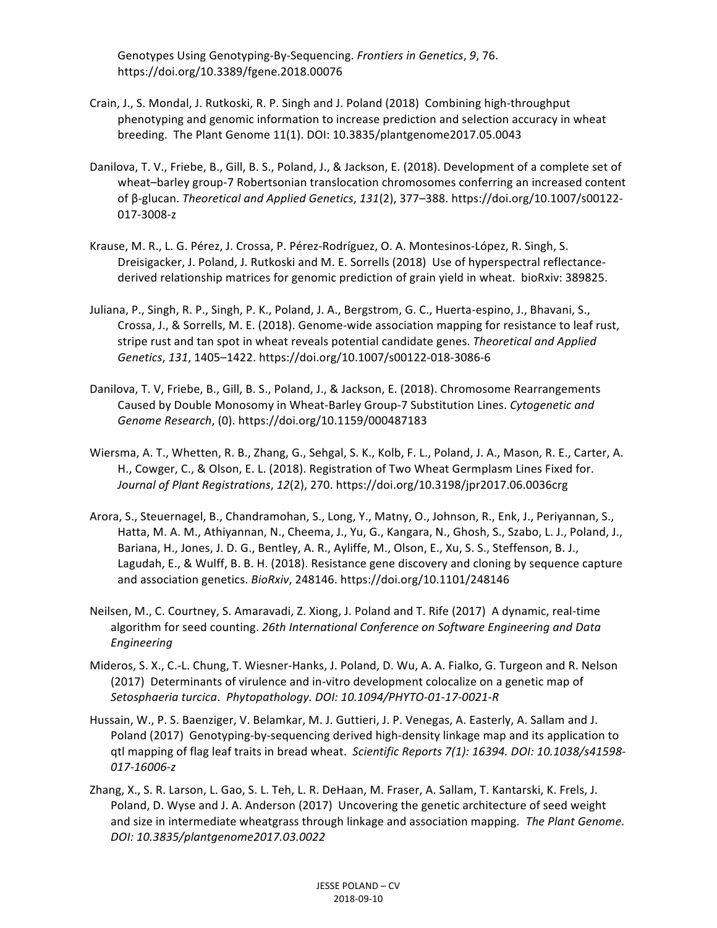Genotypes Using Genotyping-By-Sequencing. *Frontiers in Genetics*, 9, 76. https://doi.org/10.3389/fgene.2018.00076

- Crain, J., S. Mondal, J. Rutkoski, R. P. Singh and J. Poland (2018) Combining high-throughput phenotyping and genomic information to increase prediction and selection accuracy in wheat breeding. The Plant Genome 11(1). DOI: 10.3835/plantgenome2017.05.0043
- Danilova, T. V., Friebe, B., Gill, B. S., Poland, J., & Jackson, E. (2018). Development of a complete set of wheat-barley group-7 Robertsonian translocation chromosomes conferring an increased content of β-glucan. *Theoretical and Applied Genetics*, 131(2), 377–388. https://doi.org/10.1007/s00122-017-3008-z
- Krause, M. R., L. G. Pérez, J. Crossa, P. Pérez-Rodríguez, O. A. Montesinos-López, R. Singh, S. Dreisigacker, J. Poland, J. Rutkoski and M. E. Sorrells (2018) Use of hyperspectral reflectancederived relationship matrices for genomic prediction of grain yield in wheat. bioRxiv: 389825.
- Juliana, P., Singh, R. P., Singh, P. K., Poland, J. A., Bergstrom, G. C., Huerta-espino, J., Bhavani, S., Crossa, J., & Sorrells, M. E. (2018). Genome-wide association mapping for resistance to leaf rust, stripe rust and tan spot in wheat reveals potential candidate genes. *Theoretical and Applied Genetics*, *131*, 1405–1422. https://doi.org/10.1007/s00122-018-3086-6
- Danilova, T. V, Friebe, B., Gill, B. S., Poland, J., & Jackson, E. (2018). Chromosome Rearrangements Caused by Double Monosomy in Wheat-Barley Group-7 Substitution Lines. Cytogenetic and *Genome Research*, (0). https://doi.org/10.1159/000487183
- Wiersma, A. T., Whetten, R. B., Zhang, G., Sehgal, S. K., Kolb, F. L., Poland, J. A., Mason, R. E., Carter, A. H., Cowger, C., & Olson, E. L. (2018). Registration of Two Wheat Germplasm Lines Fixed for. *Journal of Plant Registrations, 12(2), 270. https://doi.org/10.3198/jpr2017.06.0036crg*
- Arora, S., Steuernagel, B., Chandramohan, S., Long, Y., Matny, O., Johnson, R., Enk, J., Periyannan, S., Hatta, M. A. M., Athiyannan, N., Cheema, J., Yu, G., Kangara, N., Ghosh, S., Szabo, L. J., Poland, J., Bariana, H., Jones, J. D. G., Bentley, A. R., Ayliffe, M., Olson, E., Xu, S. S., Steffenson, B. J., Lagudah, E., & Wulff, B. B. H. (2018). Resistance gene discovery and cloning by sequence capture and association genetics. *BioRxiv*, 248146. https://doi.org/10.1101/248146
- Neilsen, M., C. Courtney, S. Amaravadi, Z. Xiong, J. Poland and T. Rife (2017) A dynamic, real-time algorithm for seed counting. 26th International Conference on Software Engineering and Data *Engineering*
- Mideros, S. X., C.-L. Chung, T. Wiesner-Hanks, J. Poland, D. Wu, A. A. Fialko, G. Turgeon and R. Nelson (2017) Determinants of virulence and in-vitro development colocalize on a genetic map of *Setosphaeria turcica*. *Phytopathology. DOI: 10.1094/PHYTO-01-17-0021-R*
- Hussain, W., P. S. Baenziger, V. Belamkar, M. J. Guttieri, J. P. Venegas, A. Easterly, A. Sallam and J. Poland (2017) Genotyping-by-sequencing derived high-density linkage map and its application to qtl mapping of flag leaf traits in bread wheat. Scientific Reports 7(1): 16394. DOI: 10.1038/s41598-*017-16006-z*
- Zhang, X., S. R. Larson, L. Gao, S. L. Teh, L. R. DeHaan, M. Fraser, A. Sallam, T. Kantarski, K. Frels, J. Poland, D. Wyse and J. A. Anderson (2017) Uncovering the genetic architecture of seed weight and size in intermediate wheatgrass through linkage and association mapping. *The Plant Genome. DOI: 10.3835/plantgenome2017.03.0022*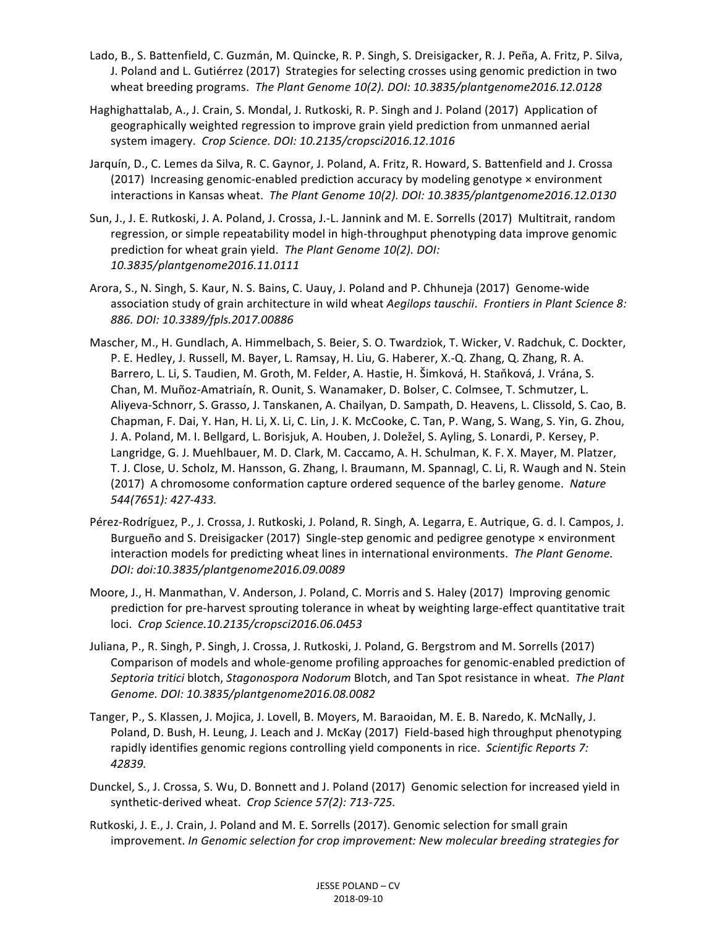- Lado, B., S. Battenfield, C. Guzmán, M. Quincke, R. P. Singh, S. Dreisigacker, R. J. Peña, A. Fritz, P. Silva, J. Poland and L. Gutiérrez (2017) Strategies for selecting crosses using genomic prediction in two wheat breeding programs. The Plant Genome 10(2). DOI: 10.3835/plantgenome2016.12.0128
- Haghighattalab, A., J. Crain, S. Mondal, J. Rutkoski, R. P. Singh and J. Poland (2017) Application of geographically weighted regression to improve grain yield prediction from unmanned aerial system imagery. Crop Science. DOI: 10.2135/cropsci2016.12.1016
- Jarquín, D., C. Lemes da Silva, R. C. Gaynor, J. Poland, A. Fritz, R. Howard, S. Battenfield and J. Crossa (2017) Increasing genomic-enabled prediction accuracy by modeling genotype  $\times$  environment interactions in Kansas wheat. The Plant Genome 10(2). DOI: 10.3835/plantgenome2016.12.0130
- Sun, J., J. E. Rutkoski, J. A. Poland, J. Crossa, J.-L. Jannink and M. E. Sorrells (2017) Multitrait, random regression, or simple repeatability model in high-throughput phenotyping data improve genomic prediction for wheat grain yield. The Plant Genome 10(2). DOI: *10.3835/plantgenome2016.11.0111*
- Arora, S., N. Singh, S. Kaur, N. S. Bains, C. Uauy, J. Poland and P. Chhuneja (2017) Genome-wide association study of grain architecture in wild wheat *Aegilops tauschii*. *Frontiers in Plant Science 8: 886. DOI: 10.3389/fpls.2017.00886*
- Mascher, M., H. Gundlach, A. Himmelbach, S. Beier, S. O. Twardziok, T. Wicker, V. Radchuk, C. Dockter, P. E. Hedley, J. Russell, M. Bayer, L. Ramsay, H. Liu, G. Haberer, X.-Q. Zhang, Q. Zhang, R. A. Barrero, L. Li, S. Taudien, M. Groth, M. Felder, A. Hastie, H. Šimková, H. Staňková, J. Vrána, S. Chan, M. Muñoz-Amatriaín, R. Ounit, S. Wanamaker, D. Bolser, C. Colmsee, T. Schmutzer, L. Aliyeva-Schnorr, S. Grasso, J. Tanskanen, A. Chailyan, D. Sampath, D. Heavens, L. Clissold, S. Cao, B. Chapman, F. Dai, Y. Han, H. Li, X. Li, C. Lin, J. K. McCooke, C. Tan, P. Wang, S. Wang, S. Yin, G. Zhou, J. A. Poland, M. I. Bellgard, L. Borisjuk, A. Houben, J. Doležel, S. Ayling, S. Lonardi, P. Kersey, P. Langridge, G. J. Muehlbauer, M. D. Clark, M. Caccamo, A. H. Schulman, K. F. X. Mayer, M. Platzer, T. J. Close, U. Scholz, M. Hansson, G. Zhang, I. Braumann, M. Spannagl, C. Li, R. Waugh and N. Stein (2017) A chromosome conformation capture ordered sequence of the barley genome. Nature *544(7651): 427-433.*
- Pérez-Rodríguez, P., J. Crossa, J. Rutkoski, J. Poland, R. Singh, A. Legarra, E. Autrique, G. d. l. Campos, J. Burgueño and S. Dreisigacker (2017) Single-step genomic and pedigree genotype  $\times$  environment interaction models for predicting wheat lines in international environments. The Plant Genome. *DOI: doi:10.3835/plantgenome2016.09.0089*
- Moore, J., H. Manmathan, V. Anderson, J. Poland, C. Morris and S. Haley (2017) Improving genomic prediction for pre-harvest sprouting tolerance in wheat by weighting large-effect quantitative trait loci. *Crop Science.10.2135/cropsci2016.06.0453*
- Juliana, P., R. Singh, P. Singh, J. Crossa, J. Rutkoski, J. Poland, G. Bergstrom and M. Sorrells (2017) Comparison of models and whole-genome profiling approaches for genomic-enabled prediction of *Septoria tritici* blotch, *Stagonospora Nodorum* Blotch, and Tan Spot resistance in wheat. The Plant *Genome. DOI: 10.3835/plantgenome2016.08.0082*
- Tanger, P., S. Klassen, J. Mojica, J. Lovell, B. Moyers, M. Baraoidan, M. E. B. Naredo, K. McNally, J. Poland, D. Bush, H. Leung, J. Leach and J. McKay (2017) Field-based high throughput phenotyping rapidly identifies genomic regions controlling yield components in rice. Scientific Reports 7: *42839.*
- Dunckel, S., J. Crossa, S. Wu, D. Bonnett and J. Poland (2017) Genomic selection for increased yield in synthetic-derived wheat. Crop Science 57(2): 713-725.
- Rutkoski, J. E., J. Crain, J. Poland and M. E. Sorrells (2017). Genomic selection for small grain improvement. In Genomic selection for crop improvement: New molecular breeding strategies for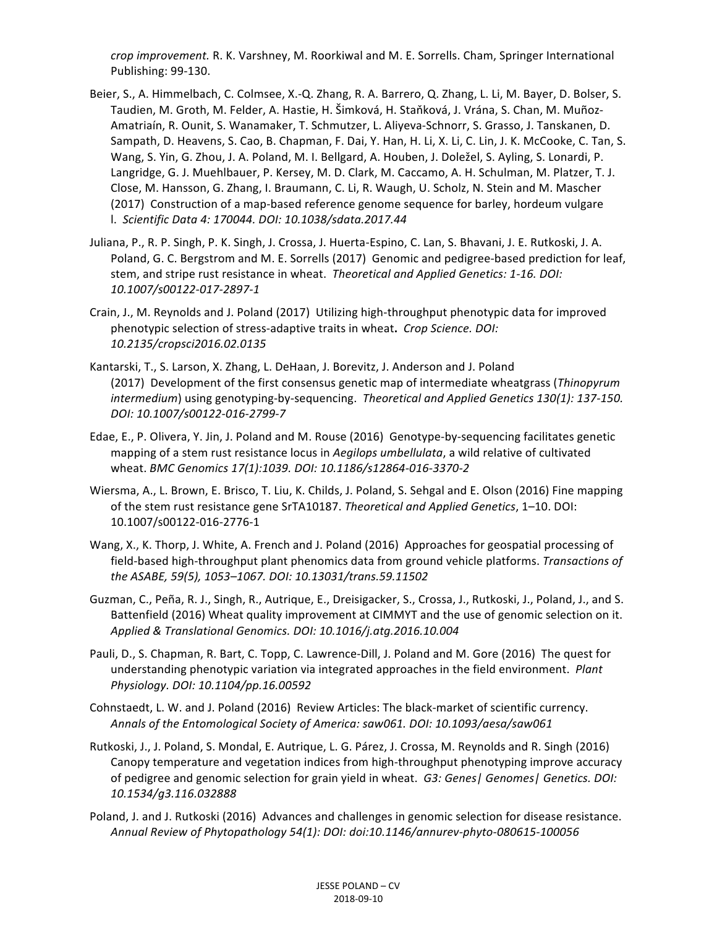*crop improvement.* R. K. Varshney, M. Roorkiwal and M. E. Sorrells. Cham, Springer International Publishing: 99-130.

- Beier, S., A. Himmelbach, C. Colmsee, X.-Q. Zhang, R. A. Barrero, Q. Zhang, L. Li, M. Bayer, D. Bolser, S. Taudien, M. Groth, M. Felder, A. Hastie, H. Šimková, H. Staňková, J. Vrána, S. Chan, M. Muñoz-Amatriaín, R. Ounit, S. Wanamaker, T. Schmutzer, L. Aliyeva-Schnorr, S. Grasso, J. Tanskanen, D. Sampath, D. Heavens, S. Cao, B. Chapman, F. Dai, Y. Han, H. Li, X. Li, C. Lin, J. K. McCooke, C. Tan, S. Wang, S. Yin, G. Zhou, J. A. Poland, M. I. Bellgard, A. Houben, J. Doležel, S. Ayling, S. Lonardi, P. Langridge, G. J. Muehlbauer, P. Kersey, M. D. Clark, M. Caccamo, A. H. Schulman, M. Platzer, T. J. Close, M. Hansson, G. Zhang, I. Braumann, C. Li, R. Waugh, U. Scholz, N. Stein and M. Mascher (2017) Construction of a map-based reference genome sequence for barley, hordeum vulgare l. *Scientific Data 4: 170044. DOI: 10.1038/sdata.2017.44*
- Juliana, P., R. P. Singh, P. K. Singh, J. Crossa, J. Huerta-Espino, C. Lan, S. Bhavani, J. E. Rutkoski, J. A. Poland, G. C. Bergstrom and M. E. Sorrells (2017) Genomic and pedigree-based prediction for leaf, stem, and stripe rust resistance in wheat. *Theoretical and Applied Genetics: 1-16. DOI: 10.1007/s00122-017-2897-1*
- Crain, J., M. Reynolds and J. Poland (2017) Utilizing high-throughput phenotypic data for improved phenotypic selection of stress-adaptive traits in wheat. *Crop Science. DOI: 10.2135/cropsci2016.02.0135*
- Kantarski, T., S. Larson, X. Zhang, L. DeHaan, J. Borevitz, J. Anderson and J. Poland (2017) Development of the first consensus genetic map of intermediate wheatgrass (*Thinopyrum intermedium*) using genotyping-by-sequencing. Theoretical and Applied Genetics 130(1): 137-150. *DOI: 10.1007/s00122-016-2799-7*
- Edae, E., P. Olivera, Y. Jin, J. Poland and M. Rouse (2016) Genotype-by-sequencing facilitates genetic mapping of a stem rust resistance locus in *Aegilops umbellulata*, a wild relative of cultivated wheat. *BMC Genomics 17(1):1039. DOI: 10.1186/s12864-016-3370-2*
- Wiersma, A., L. Brown, E. Brisco, T. Liu, K. Childs, J. Poland, S. Sehgal and E. Olson (2016) Fine mapping of the stem rust resistance gene SrTA10187. *Theoretical and Applied Genetics*, 1–10. DOI: 10.1007/s00122-016-2776-1
- Wang, X., K. Thorp, J. White, A. French and J. Poland (2016) Approaches for geospatial processing of field-based high-throughput plant phenomics data from ground vehicle platforms. *Transactions of the ASABE, 59(5), 1053–1067. DOI: 10.13031/trans.59.11502*
- Guzman, C., Peña, R. J., Singh, R., Autrique, E., Dreisigacker, S., Crossa, J., Rutkoski, J., Poland, J., and S. Battenfield (2016) Wheat quality improvement at CIMMYT and the use of genomic selection on it. *Applied & Translational Genomics. DOI: 10.1016/j.atg.2016.10.004*
- Pauli, D., S. Chapman, R. Bart, C. Topp, C. Lawrence-Dill, J. Poland and M. Gore (2016) The quest for understanding phenotypic variation via integrated approaches in the field environment. *Plant Physiology. DOI: 10.1104/pp.16.00592*
- Cohnstaedt, L. W. and J. Poland (2016) Review Articles: The black-market of scientific currency. *Annals of the Entomological Society of America: saw061. DOI: 10.1093/aesa/saw061*
- Rutkoski, J., J. Poland, S. Mondal, E. Autrique, L. G. Párez, J. Crossa, M. Reynolds and R. Singh (2016) Canopy temperature and vegetation indices from high-throughput phenotyping improve accuracy of pedigree and genomic selection for grain yield in wheat. *G3: Genes| Genomes| Genetics. DOI: 10.1534/g3.116.032888*
- Poland, J. and J. Rutkoski (2016) Advances and challenges in genomic selection for disease resistance. *Annual Review of Phytopathology 54(1): DOI: doi:10.1146/annurev-phyto-080615-100056*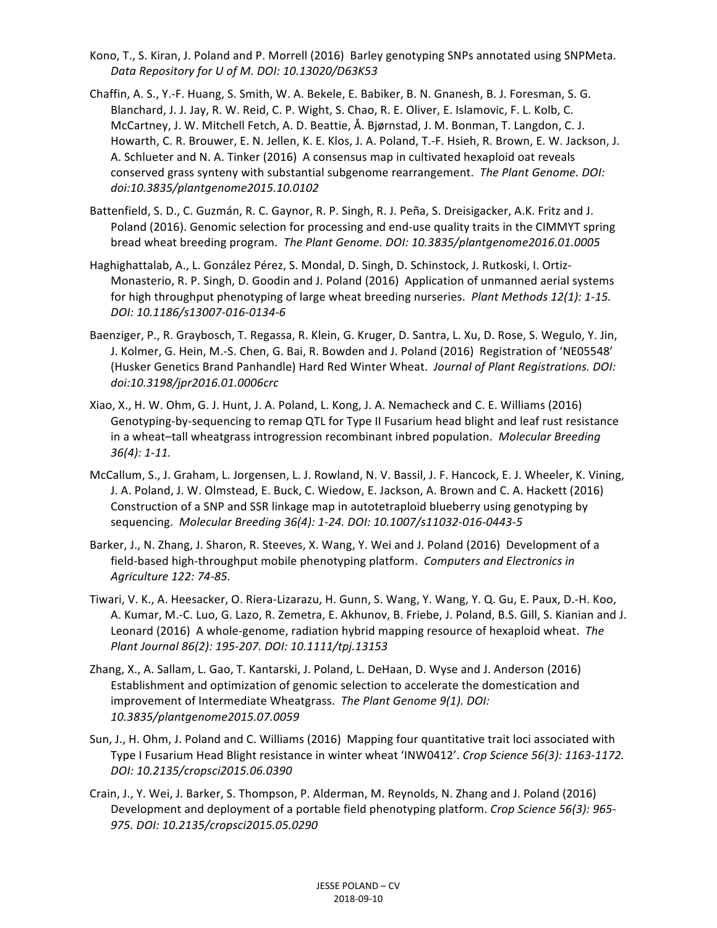- Kono, T., S. Kiran, J. Poland and P. Morrell (2016) Barley genotyping SNPs annotated using SNPMeta. *Data Repository for U of M. DOI: 10.13020/D63K53*
- Chaffin, A. S., Y.-F. Huang, S. Smith, W. A. Bekele, E. Babiker, B. N. Gnanesh, B. J. Foresman, S. G. Blanchard, J. J. Jay, R. W. Reid, C. P. Wight, S. Chao, R. E. Oliver, E. Islamovic, F. L. Kolb, C. McCartney, J. W. Mitchell Fetch, A. D. Beattie, A. Bjørnstad, J. M. Bonman, T. Langdon, C. J. Howarth, C. R. Brouwer, E. N. Jellen, K. E. Klos, J. A. Poland, T.-F. Hsieh, R. Brown, E. W. Jackson, J. A. Schlueter and N. A. Tinker (2016) A consensus map in cultivated hexaploid oat reveals conserved grass synteny with substantial subgenome rearrangement. *The Plant Genome. DOI: doi:10.3835/plantgenome2015.10.0102*
- Battenfield, S. D., C. Guzmán, R. C. Gaynor, R. P. Singh, R. J. Peña, S. Dreisigacker, A.K. Fritz and J. Poland (2016). Genomic selection for processing and end-use quality traits in the CIMMYT spring bread wheat breeding program. *The Plant Genome. DOI: 10.3835/plantgenome2016.01.0005*
- Haghighattalab, A., L. González Pérez, S. Mondal, D. Singh, D. Schinstock, J. Rutkoski, I. Ortiz-Monasterio, R. P. Singh, D. Goodin and J. Poland (2016) Application of unmanned aerial systems for high throughput phenotyping of large wheat breeding nurseries. *Plant Methods 12(1): 1-15. DOI: 10.1186/s13007-016-0134-6*
- Baenziger, P., R. Graybosch, T. Regassa, R. Klein, G. Kruger, D. Santra, L. Xu, D. Rose, S. Wegulo, Y. Jin, J. Kolmer, G. Hein, M.-S. Chen, G. Bai, R. Bowden and J. Poland (2016) Registration of 'NE05548' (Husker Genetics Brand Panhandle) Hard Red Winter Wheat. *Journal of Plant Registrations. DOI: doi:10.3198/jpr2016.01.0006crc*
- Xiao, X., H. W. Ohm, G. J. Hunt, J. A. Poland, L. Kong, J. A. Nemacheck and C. E. Williams (2016) Genotyping-by-sequencing to remap QTL for Type II Fusarium head blight and leaf rust resistance in a wheat-tall wheatgrass introgression recombinant inbred population. *Molecular Breeding 36(4): 1-11.*
- McCallum, S., J. Graham, L. Jorgensen, L. J. Rowland, N. V. Bassil, J. F. Hancock, E. J. Wheeler, K. Vining, J. A. Poland, J. W. Olmstead, E. Buck, C. Wiedow, E. Jackson, A. Brown and C. A. Hackett (2016) Construction of a SNP and SSR linkage map in autotetraploid blueberry using genotyping by sequencing. *Molecular Breeding* 36(4): 1-24. DOI: 10.1007/s11032-016-0443-5
- Barker, J., N. Zhang, J. Sharon, R. Steeves, X. Wang, Y. Wei and J. Poland (2016) Development of a field-based high-throughput mobile phenotyping platform. *Computers and Electronics in Agriculture 122: 74-85.*
- Tiwari, V. K., A. Heesacker, O. Riera-Lizarazu, H. Gunn, S. Wang, Y. Wang, Y. Q. Gu, E. Paux, D.-H. Koo, A. Kumar, M.-C. Luo, G. Lazo, R. Zemetra, E. Akhunov, B. Friebe, J. Poland, B.S. Gill, S. Kianian and J. Leonard (2016) A whole-genome, radiation hybrid mapping resource of hexaploid wheat. The *Plant Journal 86(2): 195-207. DOI: 10.1111/tpj.13153*
- Zhang, X., A. Sallam, L. Gao, T. Kantarski, J. Poland, L. DeHaan, D. Wyse and J. Anderson (2016) Establishment and optimization of genomic selection to accelerate the domestication and improvement of Intermediate Wheatgrass. The Plant Genome 9(1). DOI: *10.3835/plantgenome2015.07.0059*
- Sun, J., H. Ohm, J. Poland and C. Williams (2016) Mapping four quantitative trait loci associated with Type I Fusarium Head Blight resistance in winter wheat 'INW0412'. Crop Science 56(3): 1163-1172. *DOI: 10.2135/cropsci2015.06.0390*
- Crain, J., Y. Wei, J. Barker, S. Thompson, P. Alderman, M. Reynolds, N. Zhang and J. Poland (2016) Development and deployment of a portable field phenotyping platform. *Crop Science 56(3): 965-975. DOI: 10.2135/cropsci2015.05.0290*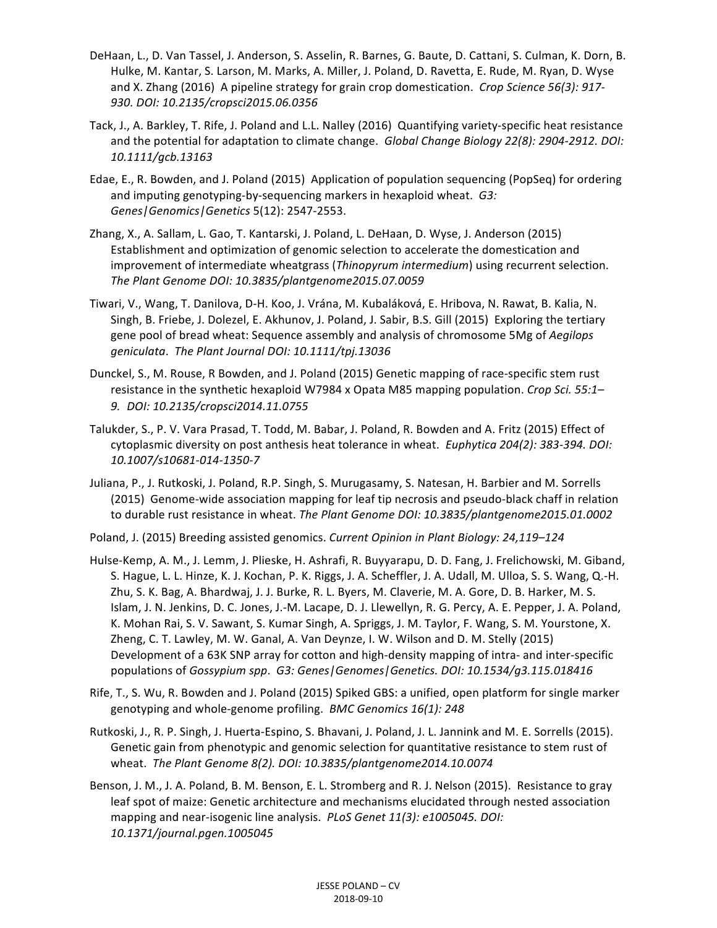- DeHaan, L., D. Van Tassel, J. Anderson, S. Asselin, R. Barnes, G. Baute, D. Cattani, S. Culman, K. Dorn, B. Hulke, M. Kantar, S. Larson, M. Marks, A. Miller, J. Poland, D. Ravetta, E. Rude, M. Ryan, D. Wyse and X. Zhang (2016) A pipeline strategy for grain crop domestication. *Crop Science 56(3): 917-930. DOI: 10.2135/cropsci2015.06.0356*
- Tack, J., A. Barkley, T. Rife, J. Poland and L.L. Nalley (2016) Quantifying variety-specific heat resistance and the potential for adaptation to climate change. *Global Change Biology 22(8): 2904-2912. DOI: 10.1111/gcb.13163*
- Edae, E., R. Bowden, and J. Poland (2015) Application of population sequencing (PopSeq) for ordering and imputing genotyping-by-sequencing markers in hexaploid wheat. *G3: Genes|Genomics|Genetics* 5(12): 2547-2553.
- Zhang, X., A. Sallam, L. Gao, T. Kantarski, J. Poland, L. DeHaan, D. Wyse, J. Anderson (2015) Establishment and optimization of genomic selection to accelerate the domestication and improvement of intermediate wheatgrass (Thinopyrum intermedium) using recurrent selection. *The Plant Genome DOI: 10.3835/plantgenome2015.07.0059*
- Tiwari, V., Wang, T. Danilova, D-H. Koo, J. Vrána, M. Kubaláková, E. Hribova, N. Rawat, B. Kalia, N. Singh, B. Friebe, J. Dolezel, E. Akhunov, J. Poland, J. Sabir, B.S. Gill (2015) Exploring the tertiary gene pool of bread wheat: Sequence assembly and analysis of chromosome 5Mg of *Aegilops geniculata*. *The Plant Journal DOI: 10.1111/tpj.13036*
- Dunckel, S., M. Rouse, R Bowden, and J. Poland (2015) Genetic mapping of race-specific stem rust resistance in the synthetic hexaploid W7984 x Opata M85 mapping population. *Crop Sci.* 55:1– *9. DOI: 10.2135/cropsci2014.11.0755*
- Talukder, S., P. V. Vara Prasad, T. Todd, M. Babar, J. Poland, R. Bowden and A. Fritz (2015) Effect of cytoplasmic diversity on post anthesis heat tolerance in wheat. *Euphytica 204(2): 383-394. DOI: 10.1007/s10681-014-1350-7*
- Juliana, P., J. Rutkoski, J. Poland, R.P. Singh, S. Murugasamy, S. Natesan, H. Barbier and M. Sorrells (2015) Genome-wide association mapping for leaf tip necrosis and pseudo-black chaff in relation to durable rust resistance in wheat. The Plant Genome DOI: 10.3835/plantgenome2015.01.0002
- Poland, J. (2015) Breeding assisted genomics. *Current Opinion in Plant Biology: 24,119–124*
- Hulse-Kemp, A. M., J. Lemm, J. Plieske, H. Ashrafi, R. Buyyarapu, D. D. Fang, J. Frelichowski, M. Giband, S. Hague, L. L. Hinze, K. J. Kochan, P. K. Riggs, J. A. Scheffler, J. A. Udall, M. Ulloa, S. S. Wang, Q.-H. Zhu, S. K. Bag, A. Bhardwaj, J. J. Burke, R. L. Byers, M. Claverie, M. A. Gore, D. B. Harker, M. S. Islam, J. N. Jenkins, D. C. Jones, J.-M. Lacape, D. J. Llewellyn, R. G. Percy, A. E. Pepper, J. A. Poland, K. Mohan Rai, S. V. Sawant, S. Kumar Singh, A. Spriggs, J. M. Taylor, F. Wang, S. M. Yourstone, X. Zheng, C. T. Lawley, M. W. Ganal, A. Van Deynze, I. W. Wilson and D. M. Stelly (2015) Development of a 63K SNP array for cotton and high-density mapping of intra- and inter-specific populations of *Gossypium spp. G3: Genes|Genomes|Genetics. DOI: 10.1534/g3.115.018416*
- Rife, T., S. Wu, R. Bowden and J. Poland (2015) Spiked GBS: a unified, open platform for single marker genotyping and whole-genome profiling. BMC Genomics 16(1): 248
- Rutkoski, J., R. P. Singh, J. Huerta-Espino, S. Bhavani, J. Poland, J. L. Jannink and M. E. Sorrells (2015). Genetic gain from phenotypic and genomic selection for quantitative resistance to stem rust of wheat. The Plant Genome 8(2). DOI: 10.3835/plantgenome2014.10.0074
- Benson, J. M., J. A. Poland, B. M. Benson, E. L. Stromberg and R. J. Nelson (2015). Resistance to gray leaf spot of maize: Genetic architecture and mechanisms elucidated through nested association mapping and near-isogenic line analysis. *PLoS Genet 11(3): e1005045. DOI: 10.1371/journal.pgen.1005045*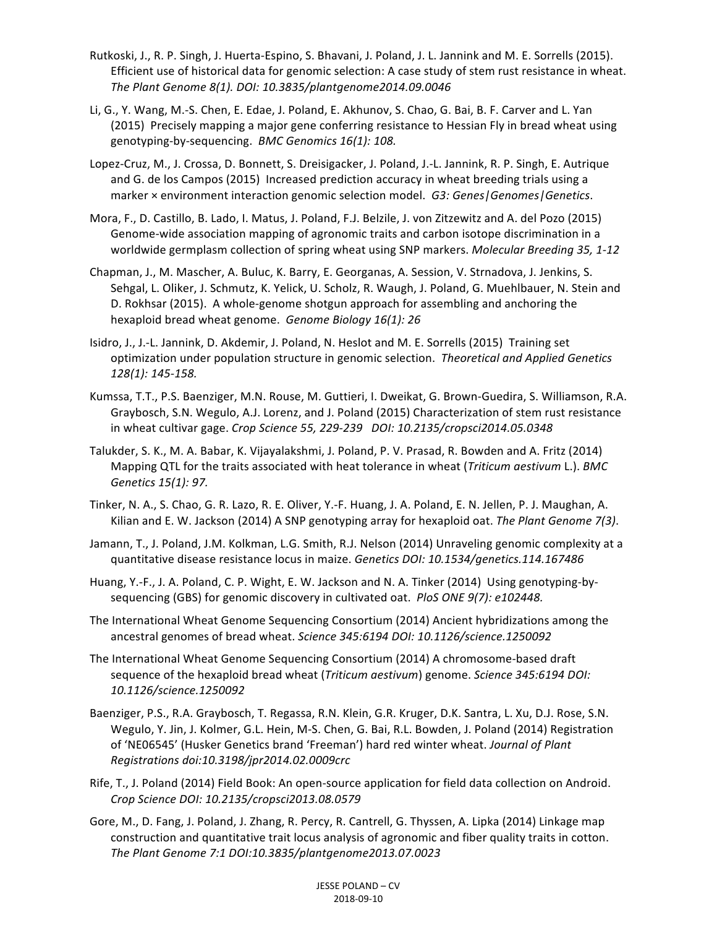- Rutkoski, J., R. P. Singh, J. Huerta-Espino, S. Bhavani, J. Poland, J. L. Jannink and M. E. Sorrells (2015). Efficient use of historical data for genomic selection: A case study of stem rust resistance in wheat. *The Plant Genome 8(1). DOI: 10.3835/plantgenome2014.09.0046*
- Li, G., Y. Wang, M.-S. Chen, E. Edae, J. Poland, E. Akhunov, S. Chao, G. Bai, B. F. Carver and L. Yan (2015) Precisely mapping a major gene conferring resistance to Hessian Fly in bread wheat using genotyping-by-sequencing. BMC Genomics 16(1): 108.
- Lopez-Cruz, M., J. Crossa, D. Bonnett, S. Dreisigacker, J. Poland, J.-L. Jannink, R. P. Singh, E. Autrique and G. de los Campos (2015) Increased prediction accuracy in wheat breeding trials using a marker × environment interaction genomic selection model. *G3: Genes|Genomes|Genetics*.
- Mora, F., D. Castillo, B. Lado, I. Matus, J. Poland, F.J. Belzile, J. von Zitzewitz and A. del Pozo (2015) Genome-wide association mapping of agronomic traits and carbon isotope discrimination in a worldwide germplasm collection of spring wheat using SNP markers. *Molecular Breeding 35, 1-12*
- Chapman, J., M. Mascher, A. Buluc, K. Barry, E. Georganas, A. Session, V. Strnadova, J. Jenkins, S. Sehgal, L. Oliker, J. Schmutz, K. Yelick, U. Scholz, R. Waugh, J. Poland, G. Muehlbauer, N. Stein and D. Rokhsar (2015). A whole-genome shotgun approach for assembling and anchoring the hexaploid bread wheat genome. *Genome Biology 16(1): 26*
- Isidro, J., J.-L. Jannink, D. Akdemir, J. Poland, N. Heslot and M. E. Sorrells (2015) Training set optimization under population structure in genomic selection. Theoretical and Applied Genetics *128(1): 145-158.*
- Kumssa, T.T., P.S. Baenziger, M.N. Rouse, M. Guttieri, I. Dweikat, G. Brown-Guedira, S. Williamson, R.A. Graybosch, S.N. Wegulo, A.J. Lorenz, and J. Poland (2015) Characterization of stem rust resistance in wheat cultivar gage. *Crop Science 55, 229-239 DOI: 10.2135/cropsci2014.05.0348*
- Talukder, S. K., M. A. Babar, K. Vijayalakshmi, J. Poland, P. V. Prasad, R. Bowden and A. Fritz (2014) Mapping QTL for the traits associated with heat tolerance in wheat (*Triticum gestivum* L.). *BMC Genetics 15(1): 97.*
- Tinker, N. A., S. Chao, G. R. Lazo, R. E. Oliver, Y.-F. Huang, J. A. Poland, E. N. Jellen, P. J. Maughan, A. Kilian and E. W. Jackson (2014) A SNP genotyping array for hexaploid oat. The Plant Genome 7(3).
- Jamann, T., J. Poland, J.M. Kolkman, L.G. Smith, R.J. Nelson (2014) Unraveling genomic complexity at a quantitative disease resistance locus in maize. Genetics DOI: 10.1534/genetics.114.167486
- Huang, Y.-F., J. A. Poland, C. P. Wight, E. W. Jackson and N. A. Tinker (2014) Using genotyping-bysequencing (GBS) for genomic discovery in cultivated oat. PloS ONE 9(7): e102448.
- The International Wheat Genome Sequencing Consortium (2014) Ancient hybridizations among the ancestral genomes of bread wheat. Science 345:6194 DOI: 10.1126/science.1250092
- The International Wheat Genome Sequencing Consortium (2014) A chromosome-based draft sequence of the hexaploid bread wheat (*Triticum aestivum*) genome. *Science* 345:6194 *DOI*: *10.1126/science.1250092*
- Baenziger, P.S., R.A. Graybosch, T. Regassa, R.N. Klein, G.R. Kruger, D.K. Santra, L. Xu, D.J. Rose, S.N. Wegulo, Y. Jin, J. Kolmer, G.L. Hein, M-S. Chen, G. Bai, R.L. Bowden, J. Poland (2014) Registration of 'NE06545' (Husker Genetics brand 'Freeman') hard red winter wheat. *Journal of Plant Registrations doi:10.3198/jpr2014.02.0009crc*
- Rife, T., J. Poland (2014) Field Book: An open-source application for field data collection on Android. *Crop Science DOI: 10.2135/cropsci2013.08.0579*
- Gore, M., D. Fang, J. Poland, J. Zhang, R. Percy, R. Cantrell, G. Thyssen, A. Lipka (2014) Linkage map construction and quantitative trait locus analysis of agronomic and fiber quality traits in cotton. *The Plant Genome 7:1 DOI:10.3835/plantgenome2013.07.0023*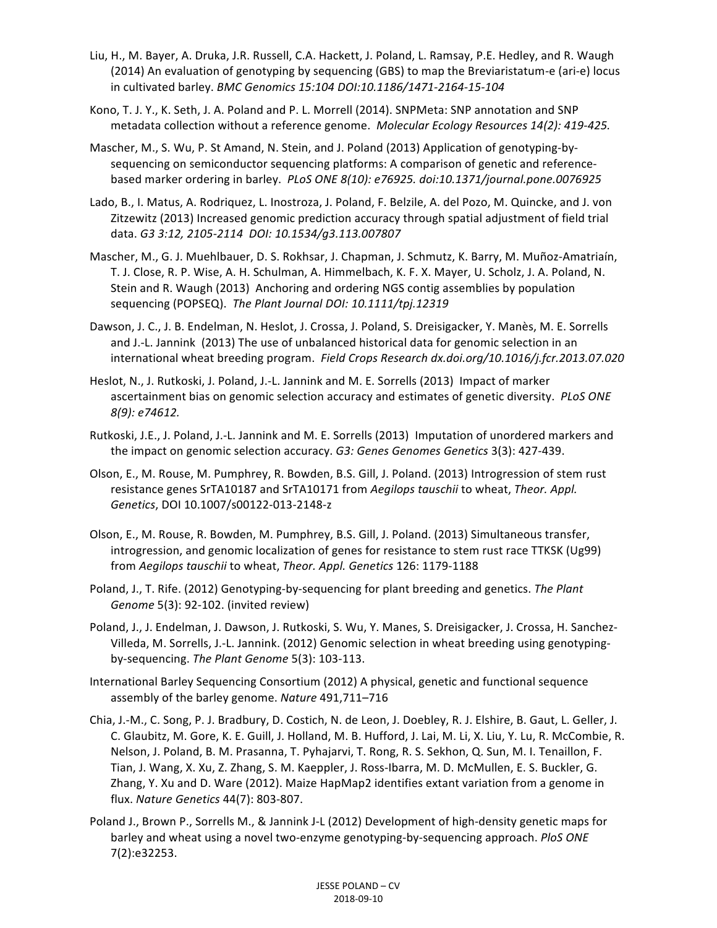- Liu, H., M. Bayer, A. Druka, J.R. Russell, C.A. Hackett, J. Poland, L. Ramsay, P.E. Hedley, and R. Waugh (2014) An evaluation of genotyping by sequencing (GBS) to map the Breviaristatum-e (ari-e) locus in cultivated barley. *BMC Genomics* 15:104 *DOI:10.1186/1471-2164-15-104*
- Kono, T. J. Y., K. Seth, J. A. Poland and P. L. Morrell (2014). SNPMeta: SNP annotation and SNP metadata collection without a reference genome. *Molecular Ecology Resources 14(2): 419-425.*
- Mascher, M., S. Wu, P. St Amand, N. Stein, and J. Poland (2013) Application of genotyping-bysequencing on semiconductor sequencing platforms: A comparison of genetic and referencebased marker ordering in barley. PLoS ONE 8(10): e76925. doi:10.1371/journal.pone.0076925
- Lado, B., I. Matus, A. Rodriquez, L. Inostroza, J. Poland, F. Belzile, A. del Pozo, M. Quincke, and J. von Zitzewitz (2013) Increased genomic prediction accuracy through spatial adjustment of field trial data. *G3 3:12, 2105-2114 DOI: 10.1534/g3.113.007807*
- Mascher, M., G. J. Muehlbauer, D. S. Rokhsar, J. Chapman, J. Schmutz, K. Barry, M. Muñoz-Amatriaín, T. J. Close, R. P. Wise, A. H. Schulman, A. Himmelbach, K. F. X. Mayer, U. Scholz, J. A. Poland, N. Stein and R. Waugh (2013) Anchoring and ordering NGS contig assemblies by population sequencing (POPSEQ). The Plant Journal DOI: 10.1111/tpj.12319
- Dawson, J. C., J. B. Endelman, N. Heslot, J. Crossa, J. Poland, S. Dreisigacker, Y. Manès, M. E. Sorrells and J.-L. Jannink (2013) The use of unbalanced historical data for genomic selection in an international wheat breeding program. Field Crops Research dx.doi.org/10.1016/j.fcr.2013.07.020
- Heslot, N., J. Rutkoski, J. Poland, J.-L. Jannink and M. E. Sorrells (2013) Impact of marker ascertainment bias on genomic selection accuracy and estimates of genetic diversity. PLoS ONE *8(9): e74612.*
- Rutkoski, J.E., J. Poland, J.-L. Jannink and M. E. Sorrells (2013) Imputation of unordered markers and the impact on genomic selection accuracy. *G3: Genes Genomes Genetics* 3(3): 427-439.
- Olson, E., M. Rouse, M. Pumphrey, R. Bowden, B.S. Gill, J. Poland. (2013) Introgression of stem rust resistance genes SrTA10187 and SrTA10171 from *Aegilops tauschii* to wheat, Theor. Appl. *Genetics*, DOI 10.1007/s00122-013-2148-z
- Olson, E., M. Rouse, R. Bowden, M. Pumphrey, B.S. Gill, J. Poland. (2013) Simultaneous transfer, introgression, and genomic localization of genes for resistance to stem rust race TTKSK (Ug99) from Aegilops tauschii to wheat, Theor. Appl. Genetics 126: 1179-1188
- Poland, J., T. Rife. (2012) Genotyping-by-sequencing for plant breeding and genetics. The Plant *Genome* 5(3): 92-102. (invited review)
- Poland, J., J. Endelman, J. Dawson, J. Rutkoski, S. Wu, Y. Manes, S. Dreisigacker, J. Crossa, H. Sanchez-Villeda, M. Sorrells, J.-L. Jannink. (2012) Genomic selection in wheat breeding using genotypingby-sequencing. *The Plant Genome* 5(3): 103-113.
- International Barley Sequencing Consortium (2012) A physical, genetic and functional sequence assembly of the barley genome. Nature 491,711–716
- Chia, J.-M., C. Song, P. J. Bradbury, D. Costich, N. de Leon, J. Doebley, R. J. Elshire, B. Gaut, L. Geller, J. C. Glaubitz, M. Gore, K. E. Guill, J. Holland, M. B. Hufford, J. Lai, M. Li, X. Liu, Y. Lu, R. McCombie, R. Nelson, J. Poland, B. M. Prasanna, T. Pyhajarvi, T. Rong, R. S. Sekhon, Q. Sun, M. I. Tenaillon, F. Tian, J. Wang, X. Xu, Z. Zhang, S. M. Kaeppler, J. Ross-Ibarra, M. D. McMullen, E. S. Buckler, G. Zhang, Y. Xu and D. Ware (2012). Maize HapMap2 identifies extant variation from a genome in flux. *Nature Genetics* 44(7): 803-807.
- Poland J., Brown P., Sorrells M., & Jannink J-L (2012) Development of high-density genetic maps for barley and wheat using a novel two-enzyme genotyping-by-sequencing approach. *PloS ONE* 7(2):e32253.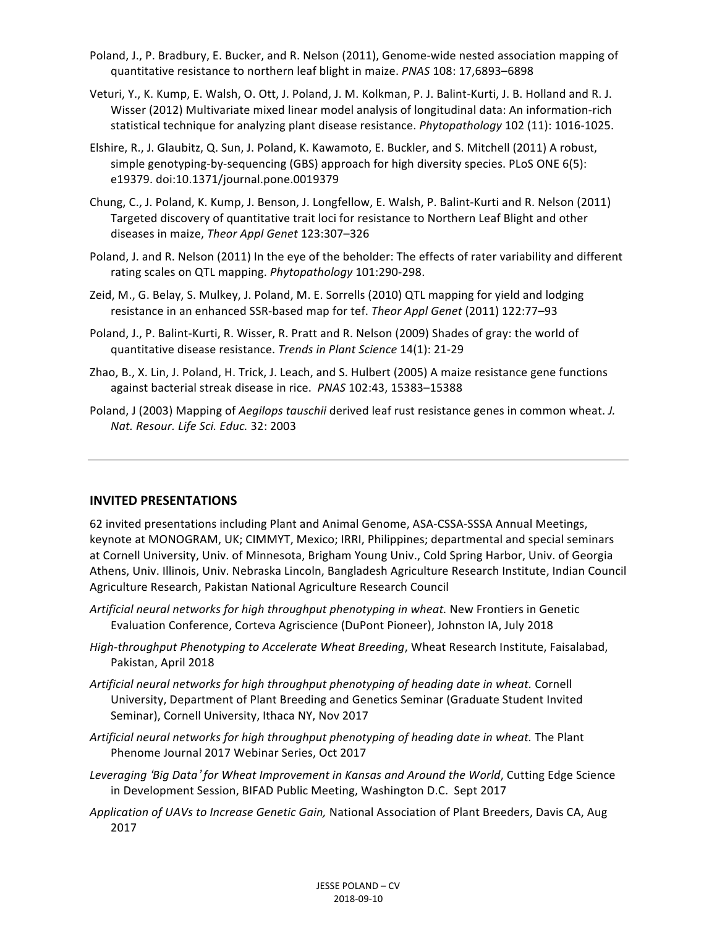- Poland, J., P. Bradbury, E. Bucker, and R. Nelson (2011), Genome-wide nested association mapping of quantitative resistance to northern leaf blight in maize. *PNAS* 108: 17,6893-6898
- Veturi, Y., K. Kump, E. Walsh, O. Ott, J. Poland, J. M. Kolkman, P. J. Balint-Kurti, J. B. Holland and R. J. Wisser (2012) Multivariate mixed linear model analysis of longitudinal data: An information-rich statistical technique for analyzing plant disease resistance. *Phytopathology* 102 (11): 1016-1025.
- Elshire, R., J. Glaubitz, Q. Sun, J. Poland, K. Kawamoto, E. Buckler, and S. Mitchell (2011) A robust, simple genotyping-by-sequencing  $(GBS)$  approach for high diversity species. PLoS ONE  $6(5)$ : e19379. doi:10.1371/journal.pone.0019379
- Chung, C., J. Poland, K. Kump, J. Benson, J. Longfellow, E. Walsh, P. Balint-Kurti and R. Nelson (2011) Targeted discovery of quantitative trait loci for resistance to Northern Leaf Blight and other diseases in maize, *Theor Appl Genet* 123:307-326
- Poland, J. and R. Nelson (2011) In the eye of the beholder: The effects of rater variability and different rating scales on QTL mapping. *Phytopathology* 101:290-298.
- Zeid, M., G. Belay, S. Mulkey, J. Poland, M. E. Sorrells (2010) QTL mapping for yield and lodging resistance in an enhanced SSR-based map for tef. Theor Appl Genet (2011) 122:77-93
- Poland, J., P. Balint-Kurti, R. Wisser, R. Pratt and R. Nelson (2009) Shades of gray: the world of quantitative disease resistance. *Trends in Plant Science* 14(1): 21-29
- Zhao, B., X. Lin, J. Poland, H. Trick, J. Leach, and S. Hulbert (2005) A maize resistance gene functions against bacterial streak disease in rice. *PNAS* 102:43, 15383-15388
- Poland, J (2003) Mapping of *Aegilops tauschii* derived leaf rust resistance genes in common wheat. *J. Nat. Resour. Life Sci. Educ.* 32: 2003

#### **INVITED PRESENTATIONS**

62 invited presentations including Plant and Animal Genome, ASA-CSSA-SSSA Annual Meetings, keynote at MONOGRAM, UK; CIMMYT, Mexico; IRRI, Philippines; departmental and special seminars at Cornell University, Univ. of Minnesota, Brigham Young Univ., Cold Spring Harbor, Univ. of Georgia Athens, Univ. Illinois, Univ. Nebraska Lincoln, Bangladesh Agriculture Research Institute, Indian Council Agriculture Research, Pakistan National Agriculture Research Council

- Artificial neural networks for high throughput phenotyping in wheat. New Frontiers in Genetic Evaluation Conference, Corteva Agriscience (DuPont Pioneer), Johnston IA, July 2018
- *High-throughput Phenotyping to Accelerate Wheat Breeding*, Wheat Research Institute, Faisalabad, Pakistan, April 2018
- Artificial neural networks for high throughput phenotyping of heading date in wheat. Cornell University, Department of Plant Breeding and Genetics Seminar (Graduate Student Invited Seminar), Cornell University, Ithaca NY, Nov 2017
- Artificial neural networks for high throughput phenotyping of heading date in wheat. The Plant Phenome Journal 2017 Webinar Series, Oct 2017
- Leveraging 'Big Data' for Wheat Improvement in Kansas and Around the World, Cutting Edge Science in Development Session, BIFAD Public Meeting, Washington D.C. Sept 2017
- Application of UAVs to Increase Genetic Gain, National Association of Plant Breeders, Davis CA, Aug 2017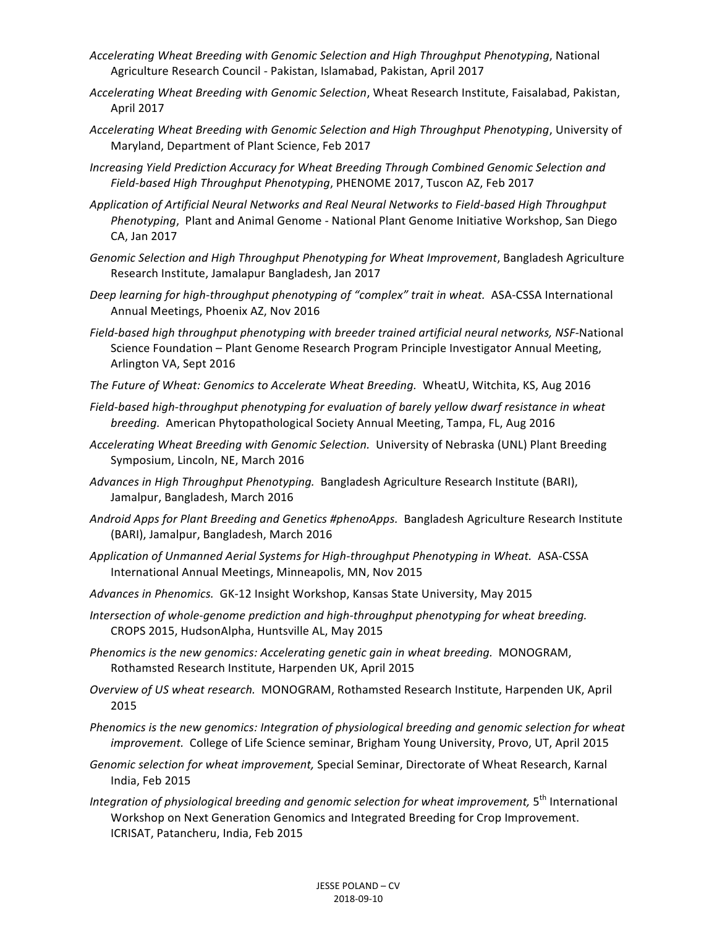- *Accelerating Wheat Breeding with Genomic Selection and High Throughput Phenotyping*, National Agriculture Research Council - Pakistan, Islamabad, Pakistan, April 2017
- *Accelerating Wheat Breeding with Genomic Selection*, Wheat Research Institute, Faisalabad, Pakistan, April 2017
- *Accelerating Wheat Breeding with Genomic Selection and High Throughput Phenotyping*, University of Maryland, Department of Plant Science, Feb 2017
- *Increasing Yield Prediction Accuracy for Wheat Breeding Through Combined Genomic Selection and Field-based High Throughput Phenotyping*, PHENOME 2017, Tuscon AZ, Feb 2017
- Application of Artificial Neural Networks and Real Neural Networks to Field-based High Throughput *Phenotyping*, Plant and Animal Genome - National Plant Genome Initiative Workshop, San Diego CA, Jan 2017
- Genomic Selection and High Throughput Phenotyping for Wheat Improvement, Bangladesh Agriculture Research Institute, Jamalapur Bangladesh, Jan 2017
- Deep learning for high-throughput phenotyping of "complex" trait in wheat. ASA-CSSA International Annual Meetings, Phoenix AZ, Nov 2016
- *Field-based high throughput phenotyping with breeder trained artificial neural networks, NSF-National* Science Foundation - Plant Genome Research Program Principle Investigator Annual Meeting, Arlington VA, Sept 2016
- The Future of Wheat: Genomics to Accelerate Wheat Breeding. WheatU, Witchita, KS, Aug 2016
- Field-based high-throughput phenotyping for evaluation of barely yellow dwarf resistance in wheat *breeding.* American Phytopathological Society Annual Meeting, Tampa, FL, Aug 2016
- Accelerating Wheat Breeding with Genomic Selection. University of Nebraska (UNL) Plant Breeding Symposium, Lincoln, NE, March 2016
- Advances in High Throughput Phenotyping. Bangladesh Agriculture Research Institute (BARI), Jamalpur, Bangladesh, March 2016
- Android Apps for Plant Breeding and Genetics #phenoApps. Bangladesh Agriculture Research Institute (BARI), Jamalpur, Bangladesh, March 2016
- *Application of Unmanned Aerial Systems for High-throughput Phenotyping in Wheat.* ASA-CSSA International Annual Meetings, Minneapolis, MN, Nov 2015
- Advances in Phenomics. GK-12 Insight Workshop, Kansas State University, May 2015
- *Intersection* of whole-genome prediction and high-throughput phenotyping for wheat breeding. CROPS 2015, HudsonAlpha, Huntsville AL, May 2015
- *Phenomics is the new genomics: Accelerating genetic gain in wheat breeding.* MONOGRAM, Rothamsted Research Institute, Harpenden UK, April 2015
- *Overview of US wheat research.* MONOGRAM, Rothamsted Research Institute, Harpenden UK, April 2015
- Phenomics is the new genomics: Integration of physiological breeding and genomic selection for wheat *improvement.* College of Life Science seminar, Brigham Young University, Provo, UT, April 2015
- Genomic selection for wheat improvement, Special Seminar, Directorate of Wheat Research, Karnal India, Feb 2015
- *Integration of physiological breeding and genomic selection for wheat improvement,* 5<sup>th</sup> International Workshop on Next Generation Genomics and Integrated Breeding for Crop Improvement. ICRISAT, Patancheru, India, Feb 2015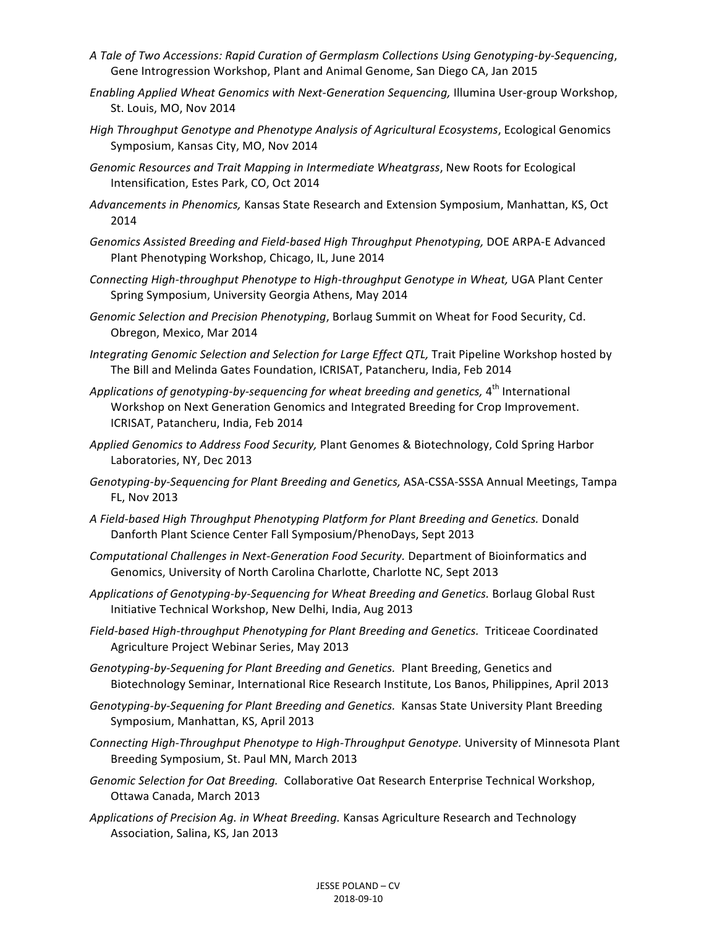- *A Tale of Two Accessions: Rapid Curation of Germplasm Collections Using Genotyping-by-Sequencing*, Gene Introgression Workshop, Plant and Animal Genome, San Diego CA, Jan 2015
- *Enabling Applied Wheat Genomics with Next-Generation Sequencing, Illumina User-group Workshop,* St. Louis, MO, Nov 2014
- *High Throughput Genotype and Phenotype Analysis of Agricultural Ecosystems, Ecological Genomics* Symposium, Kansas City, MO, Nov 2014
- Genomic Resources and Trait Mapping in Intermediate Wheatgrass, New Roots for Ecological Intensification, Estes Park, CO, Oct 2014
- Advancements in Phenomics, Kansas State Research and Extension Symposium, Manhattan, KS, Oct 2014
- Genomics Assisted Breeding and Field-based High Throughput Phenotyping, DOE ARPA-E Advanced Plant Phenotyping Workshop, Chicago, IL, June 2014
- *Connecting High-throughput Phenotype to High-throughput Genotype in Wheat,* UGA Plant Center Spring Symposium, University Georgia Athens, May 2014
- Genomic Selection and Precision Phenotyping, Borlaug Summit on Wheat for Food Security, Cd. Obregon, Mexico, Mar 2014
- *Integrating Genomic Selection and Selection for Large Effect QTL,* Trait Pipeline Workshop hosted by The Bill and Melinda Gates Foundation, ICRISAT, Patancheru, India, Feb 2014
- Applications of genotyping-by-sequencing for wheat breeding and genetics, 4<sup>th</sup> International Workshop on Next Generation Genomics and Integrated Breeding for Crop Improvement. ICRISAT, Patancheru, India, Feb 2014
- *Applied Genomics to Address Food Security,* Plant Genomes & Biotechnology, Cold Spring Harbor Laboratories, NY, Dec 2013
- Genotyping-by-Sequencing for Plant Breeding and Genetics, ASA-CSSA-SSSA Annual Meetings, Tampa FL, Nov 2013
- *A Field-based High Throughput Phenotyping Platform for Plant Breeding and Genetics.* Donald Danforth Plant Science Center Fall Symposium/PhenoDays, Sept 2013
- *Computational Challenges in Next-Generation Food Security.* Department of Bioinformatics and Genomics, University of North Carolina Charlotte, Charlotte NC, Sept 2013
- Applications of Genotyping-by-Sequencing for Wheat Breeding and Genetics. Borlaug Global Rust Initiative Technical Workshop, New Delhi, India, Aug 2013
- Field-based High-throughput Phenotyping for Plant Breeding and Genetics. Triticeae Coordinated Agriculture Project Webinar Series, May 2013
- Genotyping-by-Sequening for Plant Breeding and Genetics. Plant Breeding, Genetics and Biotechnology Seminar, International Rice Research Institute, Los Banos, Philippines, April 2013
- *Genotyping-by-Sequening for Plant Breeding and Genetics. Kansas State University Plant Breeding* Symposium, Manhattan, KS, April 2013
- *Connecting High-Throughput Phenotype to High-Throughput Genotype.* University of Minnesota Plant Breeding Symposium, St. Paul MN, March 2013
- Genomic Selection for Oat Breeding. Collaborative Oat Research Enterprise Technical Workshop, Ottawa Canada, March 2013
- Applications of Precision Ag. in Wheat Breeding. Kansas Agriculture Research and Technology Association, Salina, KS, Jan 2013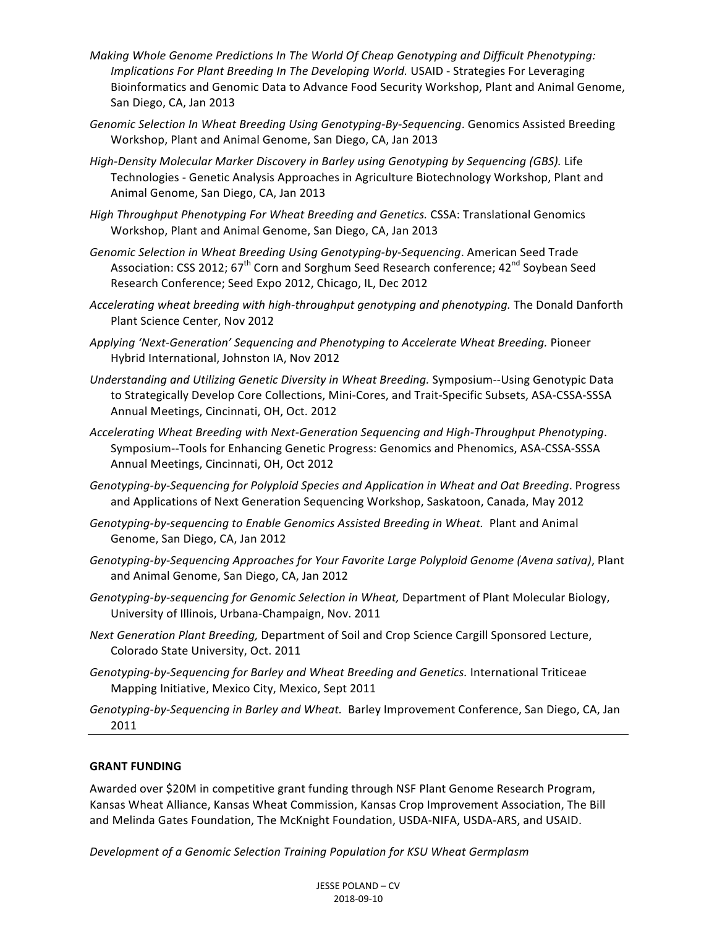- *Making* Whole Genome Predictions In The World Of Cheap Genotyping and Difficult Phenotyping: *Implications For Plant Breeding In The Developing World.* USAID - Strategies For Leveraging Bioinformatics and Genomic Data to Advance Food Security Workshop, Plant and Animal Genome, San Diego, CA, Jan 2013
- Genomic Selection In Wheat Breeding Using Genotyping-By-Sequencing. Genomics Assisted Breeding Workshop, Plant and Animal Genome, San Diego, CA, Jan 2013
- High-Density Molecular Marker Discovery in Barley using Genotyping by Sequencing (GBS). Life Technologies - Genetic Analysis Approaches in Agriculture Biotechnology Workshop, Plant and Animal Genome, San Diego, CA, Jan 2013
- *High Throughput Phenotyping For Wheat Breeding and Genetics. CSSA: Translational Genomics* Workshop, Plant and Animal Genome, San Diego, CA, Jan 2013
- Genomic Selection in Wheat Breeding Using Genotyping-by-Sequencing. American Seed Trade Association: CSS 2012; 67<sup>th</sup> Corn and Sorghum Seed Research conference; 42<sup>nd</sup> Soybean Seed Research Conference; Seed Expo 2012, Chicago, IL, Dec 2012
- *Accelerating* wheat breeding with high-throughput genotyping and phenotyping. The Donald Danforth Plant Science Center, Nov 2012
- Applying 'Next-Generation' Sequencing and Phenotyping to Accelerate Wheat Breeding. Pioneer Hybrid International, Johnston IA, Nov 2012
- Understanding and Utilizing Genetic Diversity in Wheat Breeding. Symposium--Using Genotypic Data to Strategically Develop Core Collections, Mini-Cores, and Trait-Specific Subsets, ASA-CSSA-SSSA Annual Meetings, Cincinnati, OH, Oct. 2012
- *Accelerating Wheat Breeding with Next-Generation Sequencing and High-Throughput Phenotyping*. Symposium--Tools for Enhancing Genetic Progress: Genomics and Phenomics, ASA-CSSA-SSSA Annual Meetings, Cincinnati, OH, Oct 2012
- Genotyping-by-Sequencing for Polyploid Species and Application in Wheat and Oat Breeding. Progress and Applications of Next Generation Sequencing Workshop, Saskatoon, Canada, May 2012
- Genotyping-by-sequencing to Enable Genomics Assisted Breeding in Wheat. Plant and Animal Genome, San Diego, CA, Jan 2012
- *Genotyping-by-Sequencing Approaches for Your Favorite Large Polyploid Genome (Avena sativa)*, Plant and Animal Genome, San Diego, CA, Jan 2012
- Genotyping-by-sequencing for Genomic Selection in Wheat, Department of Plant Molecular Biology, University of Illinois, Urbana-Champaign, Nov. 2011
- *Next Generation Plant Breeding, Department of Soil and Crop Science Cargill Sponsored Lecture,* Colorado State University, Oct. 2011
- Genotyping-by-Sequencing for Barley and Wheat Breeding and Genetics. International Triticeae Mapping Initiative, Mexico City, Mexico, Sept 2011

Genotyping-by-Sequencing in Barley and Wheat. Barley Improvement Conference, San Diego, CA, Jan 2011 

#### **GRANT FUNDING**

Awarded over \$20M in competitive grant funding through NSF Plant Genome Research Program, Kansas Wheat Alliance, Kansas Wheat Commission, Kansas Crop Improvement Association, The Bill and Melinda Gates Foundation, The McKnight Foundation, USDA-NIFA, USDA-ARS, and USAID.

*Development of a Genomic Selection Training Population for KSU Wheat Germplasm*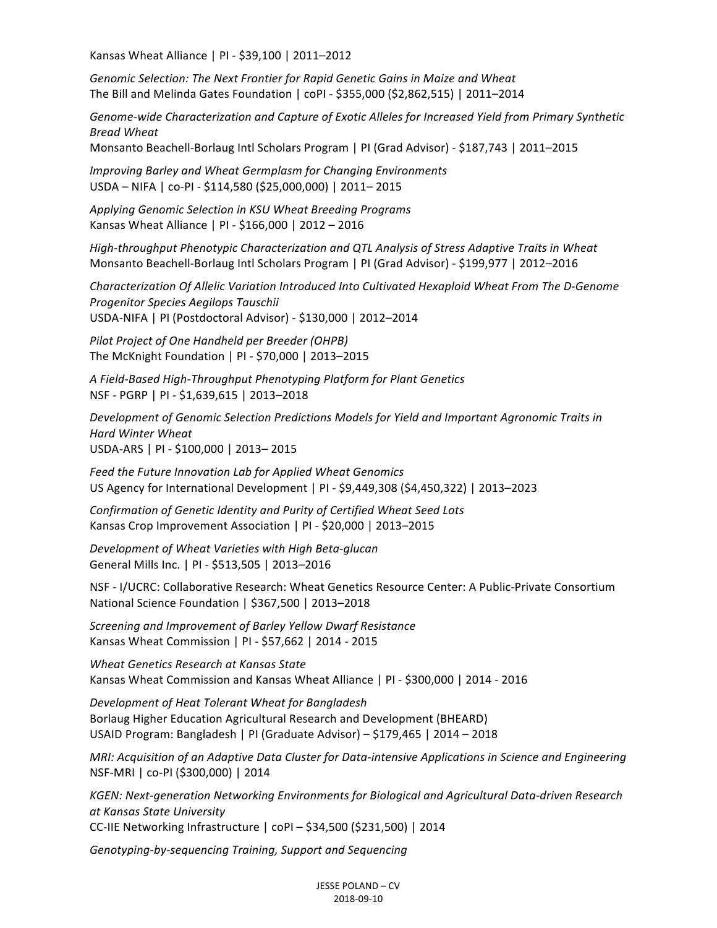Kansas Wheat Alliance | PI - \$39,100 | 2011–2012

Genomic Selection: The Next Frontier for Rapid Genetic Gains in Maize and Wheat The Bill and Melinda Gates Foundation |  $coPl - $355,000 ($2,862,515)$  | 2011–2014

Genome-wide Characterization and Capture of Exotic Alleles for Increased Yield from Primary Synthetic *Bread Wheat*

Monsanto Beachell-Borlaug Intl Scholars Program | PI (Grad Advisor) - \$187,743 | 2011–2015

*Improving Barley and Wheat Germplasm for Changing Environments* USDA - NIFA | co-PI - \$114,580 (\$25,000,000) | 2011-2015

*Applying Genomic Selection in KSU Wheat Breeding Programs* Kansas Wheat Alliance | PI - \$166,000 | 2012 – 2016

*High-throughput Phenotypic Characterization and QTL Analysis of Stress Adaptive Traits in Wheat* Monsanto Beachell-Borlaug Intl Scholars Program | PI (Grad Advisor) - \$199,977 | 2012–2016

*Characterization Of Allelic Variation Introduced Into Cultivated Hexaploid Wheat From The D-Genome Progenitor Species Aegilops Tauschii* USDA-NIFA | PI (Postdoctoral Advisor) - \$130,000 | 2012-2014

**Pilot Project of One Handheld per Breeder (OHPB)** The McKnight Foundation | PI - \$70,000 | 2013-2015

*A Field-Based High-Throughput Phenotyping Platform for Plant Genetics* NSF - PGRP | PI - \$1,639,615 | 2013-2018

Development of Genomic Selection Predictions Models for Yield and Important Agronomic Traits in *Hard Winter Wheat* USDA-ARS | PI - \$100,000 | 2013-2015

Feed the Future Innovation Lab for Applied Wheat Genomics US Agency for International Development | PI - \$9,449,308 (\$4,450,322) | 2013–2023

*Confirmation of Genetic Identity and Purity of Certified Wheat Seed Lots* Kansas Crop Improvement Association | PI - \$20,000 | 2013–2015

*Development of Wheat Varieties with High Beta-glucan* General Mills Inc. | PI - \$513,505 | 2013-2016

NSF - I/UCRC: Collaborative Research: Wheat Genetics Resource Center: A Public-Private Consortium National Science Foundation | \$367,500 | 2013–2018

*Screening and Improvement of Barley Yellow Dwarf Resistance* Kansas Wheat Commission | PI - \$57,662 | 2014 - 2015

*Wheat Genetics Research at Kansas State* Kansas Wheat Commission and Kansas Wheat Alliance | PI - \$300,000 | 2014 - 2016

*Development of Heat Tolerant Wheat for Bangladesh* Borlaug Higher Education Agricultural Research and Development (BHEARD) USAID Program: Bangladesh | PI (Graduate Advisor) – \$179,465 | 2014 – 2018

*MRI: Acquisition of an Adaptive Data Cluster for Data-intensive Applications in Science and Engineering* NSF-MRI | co-PI (\$300,000) | 2014

*KGEN: Next-generation Networking Environments for Biological and Agricultural Data-driven Research at Kansas State University* CC-IIE Networking Infrastructure | coPI - \$34,500 (\$231,500) | 2014

*Genotyping-by-sequencing Training, Support and Sequencing*